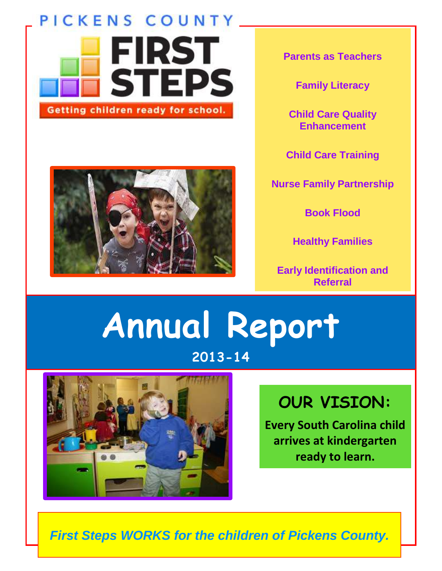# PICKENS COUNTY **FIRST STEPS** Getting children ready for school.



**Parents as Teachers**

**Family Literacy**

**Child Care Quality Enhancement**

**Child Care Training**

**Nurse Family Partnership**

**Book Flood**

**Healthy Families**

**Early Identification and Referral**

# **Annual Report 2013-14**



# **OUR VISION:**

**Every South Carolina child arrives at kindergarten ready to learn.**

*First Steps WORKS for the children of Pickens County.*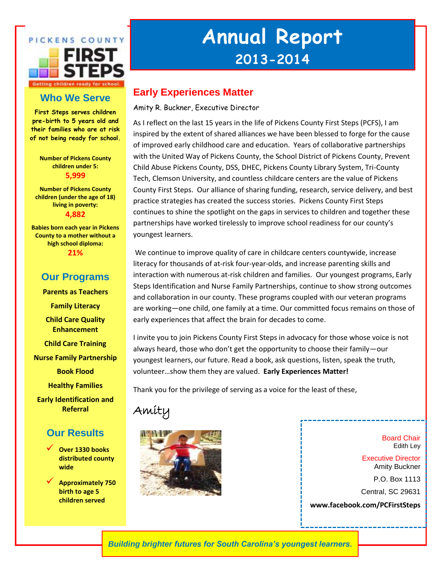

## **Who We Serve**

**First Steps serves children pre-birth to 5 years old and their families who are at risk of not being ready for school.**

> **Number of Pickens County children under 5: 5,999**

**Number of Pickens County children (under the age of 18) living in poverty: 4,882**

**Babies born each year in Pickens County to a mother without a high school diploma: 21%**

### **Our Programs**

**Parents as Teachers Family Literacy Child Care Quality Enhancement Child Care Training Nurse Family Partnership Book Flood Healthy Families Early Identification and Referral**

### **Our Results**

- **Over 1330 books distributed county wide**
- **Approximately 750 birth to age 5 children served**

# **Annual Report 2013-2014**

## **Early Experiences Matter**

Amity R. Buckner, Executive Director

As I reflect on the last 15 years in the life of Pickens County First Steps (PCFS), I am inspired by the extent of shared alliances we have been blessed to forge for the cause of improved early childhood care and education. Years of collaborative partnerships with the United Way of Pickens County, the School District of Pickens County, Prevent Child Abuse Pickens County, DSS, DHEC, Pickens County Library System, Tri-County Tech, Clemson University, and countless childcare centers are the value of Pickens County First Steps. Our alliance of sharing funding, research, service delivery, and best practice strategies has created the success stories. Pickens County First Steps continues to shine the spotlight on the gaps in services to children and together these partnerships have worked tirelessly to improve school readiness for our county's youngest learners.

We continue to improve quality of care in childcare centers countywide, increase literacy for thousands of at-risk four-year-olds, and increase parenting skills and interaction with numerous at-risk children and families. Our youngest programs, Early Steps Identification and Nurse Family Partnerships, continue to show strong outcomes and collaboration in our county. These programs coupled with our veteran programs are working—one child, one family at a time. Our committed focus remains on those of early experiences that affect the brain for decades to come.

I invite you to join Pickens County First Steps in advocacy for those whose voice is not always heard, those who don't get the opportunity to choose their family—our youngest learners, our future. Read a book, ask questions, listen, speak the truth, volunteer…show them they are valued. **Early Experiences Matter!**

Thank you for the privilege of serving as a voice for the least of these,

# Amity



Board Chair Edith Ley

Executive Director Amity Buckner

P.O. Box 1113

Central, SC 29631

**www.facebook.com/PCFirstSteps**

*Building brighter futures for South Carolina's youngest learners.*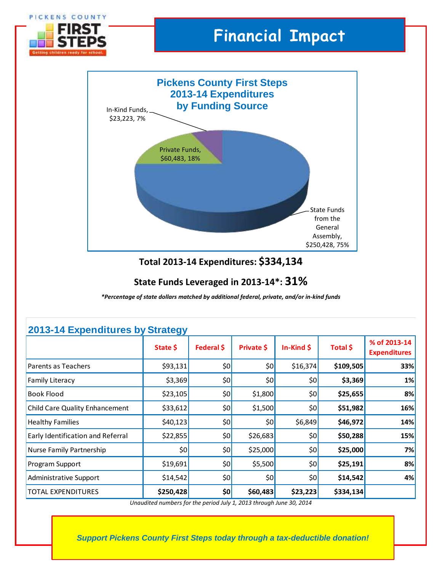

### **State Funds Leveraged in 2013-14\*: 31%**

*\*Percentage of state dollars matched by additional federal, private, and/or in-kind funds*

| 2013-14 Expenditures by Strategy      |           |            |            |              |           |                                     |
|---------------------------------------|-----------|------------|------------|--------------|-----------|-------------------------------------|
|                                       | State \$  | Federal \$ | Private \$ | $In-Kind$ \$ | Total \$  | % of 2013-14<br><b>Expenditures</b> |
| Parents as Teachers                   | \$93,131  | \$0        | 50         | \$16,374     | \$109,505 | 33%                                 |
| <b>Family Literacy</b>                | \$3,369   | \$0        | 50         | \$0          | \$3,369   | 1%                                  |
| <b>Book Flood</b>                     | \$23,105  | \$0]       | \$1,800    | \$0          | \$25,655  | 8%                                  |
| <b>Child Care Quality Enhancement</b> | \$33,612  | \$0        | \$1,500    | \$0          | \$51,982  | 16%                                 |
| <b>Healthy Families</b>               | \$40,123  | \$0        | 50         | \$6,849      | \$46,972  | 14%                                 |
| Early Identification and Referral     | \$22,855  | \$0        | \$26,683   | \$0          | \$50,288  | 15%                                 |
| Nurse Family Partnership              | \$0       | \$0        | \$25,000   | \$0          | \$25,000  | 7%                                  |
| Program Support                       | \$19,691  | \$0        | \$5,500    | \$0          | \$25,191  | 8%                                  |
| Administrative Support                | \$14,542  | \$0        | 50         | \$0          | \$14,542  | 4%                                  |
| TOTAL EXPENDITURES                    | \$250,428 | \$0        | \$60,483   | \$23,223     | \$334,134 |                                     |

## **2013-14 Expenditures by Strategy**

*Unaudited numbers for the period July 1, 2013 through June 30, 2014*

*Support Pickens County First Steps today through a tax-deductible donation!*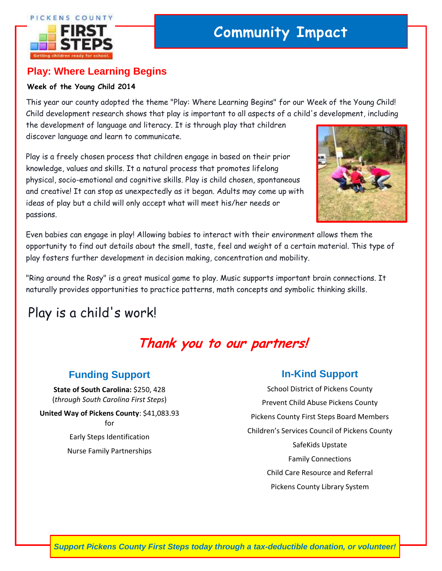#### PICKENS COUNTY



# **Community Impact**

## **Play: Where Learning Begins**

#### **Week of the Young Child 2014**

This year our county adopted the theme "Play: Where Learning Begins" for our Week of the Young Child! Child development research shows that play is important to all aspects of a child's development, including

the development of language and literacy. It is through play that children discover language and learn to communicate.

Play is a freely chosen process that children engage in based on their prior knowledge, values and skills. It a natural process that promotes lifelong physical, socio-emotional and cognitive skills. Play is child chosen, spontaneous and creative! It can stop as unexpectedly as it began. Adults may come up with ideas of play but a child will only accept what will meet his/her needs or passions.



Even babies can engage in play! Allowing babies to interact with their environment allows them the opportunity to find out details about the smell, taste, feel and weight of a certain material. This type of play fosters further development in decision making, concentration and mobility.

"Ring around the Rosy" is a great musical game to play. Music supports important brain connections. It naturally provides opportunities to practice patterns, math concepts and symbolic thinking skills.

# Play is a child's work!

# **Thank you to our partners!**

## **Funding Support**

**State of South Carolina:** \$250, 428 (*through South Carolina First Steps*)

**United Way of Pickens County**: \$41,083.93 for Early Steps Identification

Nurse Family Partnerships

### **In-Kind Support**

School District of Pickens County Prevent Child Abuse Pickens County Pickens County First Steps Board Members Children's Services Council of Pickens County SafeKids Upstate Family Connections Child Care Resource and Referral Pickens County Library System

*Support Pickens County First Steps today through a tax-deductible donation, or volunteer!*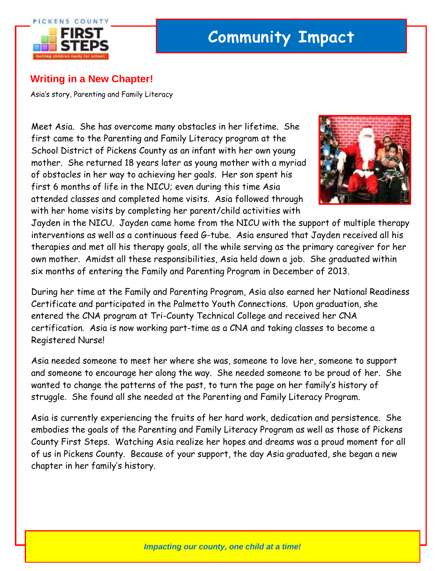

## **Writing in a New Chapter!**

Asia's story, Parenting and Family Literacy

Meet Asia. She has overcome many obstacles in her lifetime. She first came to the Parenting and Family Literacy program at the School District of Pickens County as an infant with her own young mother. She returned 18 years later as young mother with a myriad of obstacles in her way to achieving her goals. Her son spent his first 6 months of life in the NICU; even during this time Asia attended classes and completed home visits. Asia followed through with her home visits by completing her parent/child activities with



Jayden in the NICU. Jayden came home from the NICU with the support of multiple therapy interventions as well as a continuous feed G-tube. Asia ensured that Jayden received all his therapies and met all his therapy goals, all the while serving as the primary caregiver for her own mother. Amidst all these responsibilities, Asia held down a job. She graduated within six months of entering the Family and Parenting Program in December of 2013.

During her time at the Family and Parenting Program, Asia also earned her National Readiness Certificate and participated in the Palmetto Youth Connections. Upon graduation, she entered the CNA program at Tri-County Technical College and received her CNA certification. Asia is now working part-time as a CNA and taking classes to become a Registered Nurse!

Asia needed someone to meet her where she was, someone to love her, someone to support and someone to encourage her along the way. She needed someone to be proud of her. She wanted to change the patterns of the past, to turn the page on her family's history of struggle. She found all she needed at the Parenting and Family Literacy Program.

Asia is currently experiencing the fruits of her hard work, dedication and persistence. She embodies the goals of the Parenting and Family Literacy Program as well as those of Pickens County First Steps. Watching Asia realize her hopes and dreams was a proud moment for all of us in Pickens County. Because of your support, the day Asia graduated, she began a new chapter in her family's history.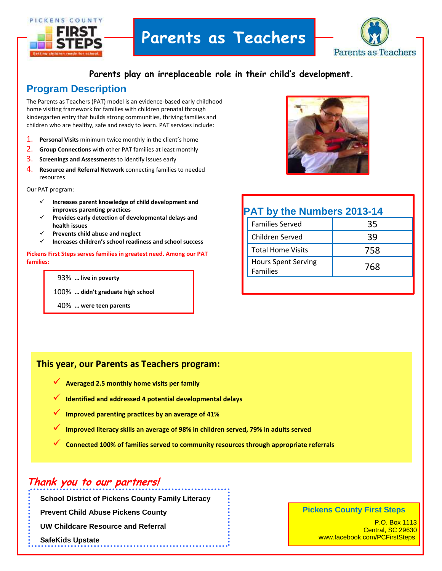

# **Parents as Teachers**



#### **Parents play an irreplaceable role in their child's development.**

## **Program Description**

The Parents as Teachers (PAT) model is an evidence-based early childhood home visiting framework for families with children prenatal through kindergarten entry that builds strong communities, thriving families and children who are healthy, safe and ready to learn. PAT services include:

- 1. **Personal Visits** minimum twice monthly in the client's home
- 2. **Group Connections** with other PAT families at least monthly
- 3. **Screenings and Assessments** to identify issues early
- 4. **Resource and Referral Network** connecting families to needed resources
- Our PAT program:
	- **Increases parent knowledge of child development and improves parenting practices**
	- **Provides early detection of developmental delays and health issues**
	- **Prevents child abuse and neglect**
	- **Increases children's school readiness and school success**

**Pickens First Steps serves families in greatest need. Among our PAT families:**

#### 93% **… live in poverty**

100% **… didn't graduate high school**

40% **… were teen parents**



## **PAT by the Numbers 2013-14**

|                                               | <b>Families Served</b>   | 35  |
|-----------------------------------------------|--------------------------|-----|
| Children Served                               |                          | 39  |
|                                               | <b>Total Home Visits</b> | 758 |
| <b>Hours Spent Serving</b><br><b>Families</b> |                          | 768 |
|                                               |                          |     |

#### **This year, our Parents as Teachers program:**

- **Averaged 2.5 monthly home visits per family**
- **Identified and addressed 4 potential developmental delays**

. . . . . . . . . . . . . . . . . .

- **Improved parenting practices by an average of 41%**
- **Improved literacy skills an average of 98% in children served, 79% in adults served**
- **Connected 100% of families served to community resources through appropriate referrals**

## **Thank you to our partners!**

**School District of Pickens County Family Literacy**

**Prevent Child Abuse Pickens County**

**UW Childcare Resource and Referral**

**SafeKids Upstate**

**s**

#### **Pickens County First Steps**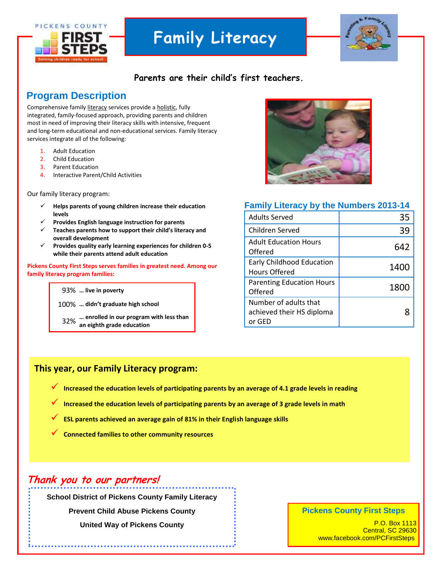

# **Family Literacy**



### **Parents are their child's first teachers.**

### **Program Description**

Comprehensive famil[y literacy](http://en.wikipedia.org/wiki/Literacy) services provide [a holistic,](http://en.wikipedia.org/wiki/Holism) fully integrated, family-focused approach, providing parents and children most in need of improving their literacy skills with intensive, frequent and long-term educational and non-educational services. Family literacy services integrate all of the following:

- 1. [Adult Education](http://en.wikipedia.org/wiki/Adult_Education)
- 2. Child Education
- 3. Parent Education
- 4. Interactive Parent/Child Activities

Our family literacy program:

- **Helps parents of young children increase their education levels**
- **Provides English language instruction for parents**
- **Teaches parents how to support their child's literacy and overall development**
- **Provides quality early learning experiences for children 0-5 while their parents attend adult education**

**Pickens County First Steps serves families in greatest need. Among our family literacy program families:**

#### 93% **… live in poverty**

100% **… didn't graduate high school**

32% **… enrolled in our program with less than an eighth grade education**



#### **Family Literacy by the Numbers 2013-14**

| <b>Adults Served</b>                                         | 35   |
|--------------------------------------------------------------|------|
| Children Served                                              | 39   |
| <b>Adult Education Hours</b><br>Offered                      | 642  |
| Early Childhood Education<br>Hours Offered                   | 1400 |
| <b>Parenting Education Hours</b><br>Offered                  | 1800 |
| Number of adults that<br>achieved their HS diploma<br>or GFD |      |

#### **This year, our Family Literacy program:**

- **Increased the education levels of participating parents by an average of 4.1 grade levels in reading**
- **Increased the education levels of participating parents by an average of 3 grade levels in math**
- **ESL parents achieved an average gain of 81% in their English language skills**
- **Connected families to other community resources**

## **Thank you to our partners!**

**School District of Pickens County Family Literacy**

**Prevent Child Abuse Pickens County**

**United Way of Pickens County**

#### **Pickens County First Steps**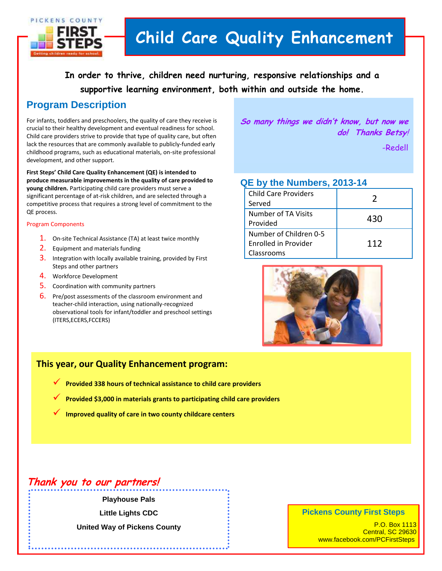

# **Child Care Quality Enhancement**

**In order to thrive, children need nurturing, responsive relationships and a supportive learning environment, both within and outside the home.**

## **Program Description**

For infants, toddlers and preschoolers, the quality of care they receive is crucial to their healthy development and eventual readiness for school. Child care providers strive to provide that type of quality care, but often lack the resources that are commonly available to publicly-funded early childhood programs, such as educational materials, on-site professional development, and other support.

**First Steps' Child Care Quality Enhancement (QE) is intended to produce measurable improvements in the quality of care provided to young children.** Participating child care providers must serve a significant percentage of at-risk children, and are selected through a competitive process that requires a strong level of commitment to the QE process.

#### Program Components

- 1. On-site Technical Assistance (TA) at least twice monthly
- 2. Equipment and materials funding
- 3. Integration with locally available training, provided by First Steps and other partners
- 4. Workforce Development
- **5.** Coordination with community partners
- 6. Pre/post assessments of the classroom environment and teacher-child interaction, using nationally-recognized observational tools for infant/toddler and preschool settings (ITERS,ECERS,FCCERS)

**So many things we didn't know, but now we do! Thanks Betsy**!

-Redell

#### **QE by the Numbers, 2013-14**

| <b>Child Care Providers</b><br>Served                        |     |
|--------------------------------------------------------------|-----|
| Number of TA Visits<br>Provided                              | 430 |
| Number of Children 0-5<br>Enrolled in Provider<br>Classrooms | 112 |



#### **This year, our Quality Enhancement program:**

- **Provided 338 hours of technical assistance to child care providers**
- **Provided \$3,000 in materials grants to participating child care providers**
- **Improved quality of care in two county childcare centers**

## **Thank you to our partners!**

#### **Playhouse Pals**

**Little Lights CDC**

**United Way of Pickens County**

#### **Pickens County First Steps**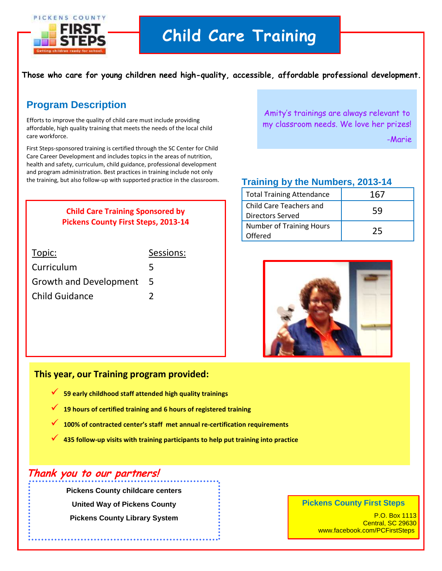

**Those who care for young children need high-quality, accessible, affordable professional development.**

## **Program Description**

Efforts to improve the quality of child care must include providing affordable, high quality training that meets the needs of the local child care workforce.

First Steps-sponsored training is certified through the SC Center for Child Care Career Development and includes topics in the areas of nutrition, health and safety, curriculum, child guidance, professional development and program administration. Best practices in training include not only the training, but also follow-up with supported practice in the classroom.

> **Child Care Training Sponsored by Pickens County First Steps, 2013-14**

| Topic:                        | Sessions: |
|-------------------------------|-----------|
| Curriculum                    | 5         |
| <b>Growth and Development</b> | 5         |
| <b>Child Guidance</b>         |           |

Amity's trainings are always relevant to my classroom needs. We love her prizes!

-Marie

### **Training by the Numbers, 2013-14**

| <b>Total Training Attendance</b>                   | 167 |
|----------------------------------------------------|-----|
| Child Care Teachers and<br><b>Directors Served</b> | 59  |
| <b>Number of Training Hours</b><br>Offered         | 25  |



#### **This year, our Training program provided:**

- **59 early childhood staff attended high quality trainings**
- **19 hours of certified training and 6 hours of registered training**
- **100% of contracted center's staff met annual re-certification requirements**
- **435 follow-up visits with training participants to help put training into practice**

## **Thank you to our partners!**

**Pickens County childcare centers United Way of Pickens County Pickens County Library System**

#### **Pickens County First Steps**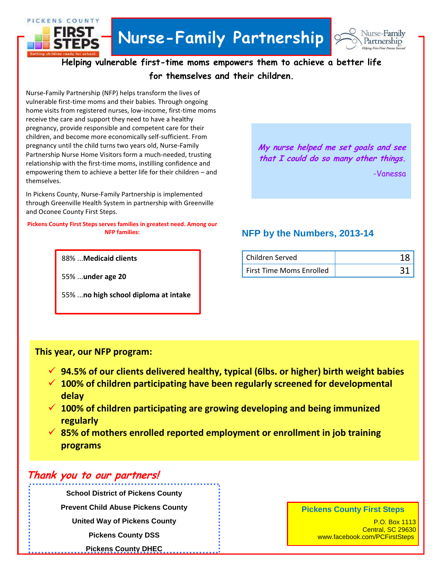



**Helping vulnerable first-time moms empowers them to achieve a better life for themselves and their children.**

vulnerable first-time moms and their babies. Through ongoing<br>hame visite from nazistaned numes, low income, first time mag Nurse-Family Partnership (NFP) helps transform the lives of home visits from registered nurses, low-income, first-time moms receive the care and support they need to have a healthy pregnancy, provide responsible and competent care for their children, and become more economically self-sufficient. From pregnancy until the child turns two years old, Nurse-Family Partnership Nurse Home Visitors form a much-needed, trusting relationship with the first-time moms, instilling confidence and empowering them to achieve a better life for their children – and themselves.

In Pickens County, Nurse-Family Partnership is implemented through Greenville Health System in partnership with Greenville and Oconee County First Steps.

**Pickens County First Steps serves families in greatest need. Among our NFP families:**

88% ...**Medicaid clients**

55% ...**under age 20**

PICKENS COUNTY

55% ...**no high school diploma at intake**

**My nurse helped me set goals and see that I could do so many other things.** -Vanessa

### **NFP by the Numbers, 2013-14**

| Children Served                 |  |
|---------------------------------|--|
| <b>First Time Moms Enrolled</b> |  |

#### **This year, our NFP program:**

- **94.5% of our clients delivered healthy, typical (6lbs. or higher) birth weight babies**
- **100% of children participating have been regularly screened for developmental delay**
- **100% of children participating are growing developing and being immunized regularly**
- **85% of mothers enrolled reported employment or enrollment in job training programs**

## **Thank you to our partners!**

**School District of Pickens County Prevent Child Abuse Pickens County United Way of Pickens County Pickens County DSS Pickens County DHEC**

#### **Pickens County First Steps**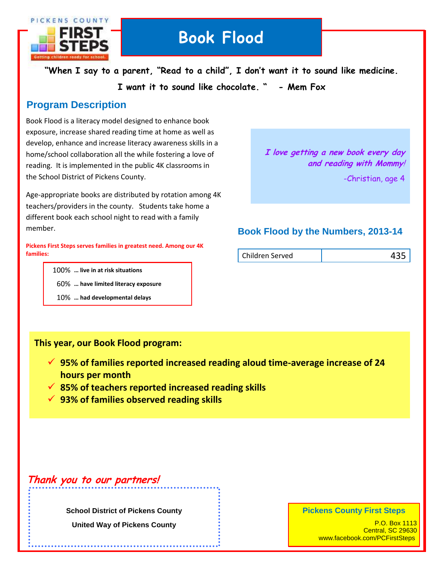

# **BOOK FLOOD Book Flood**

**"When I say to a parent, "Read to a child", I don't want it to sound like medicine.**

**I want it to sound like chocolate. " - Mem Fox**

## **Program Description**

Book Flood is a literacy model designed to enhance book exposure, increase shared reading time at home as well as develop, enhance and increase literacy awareness skills in a home/school collaboration all the while fostering a love of reading. It is implemented in the public 4K classrooms in the School District of Pickens County.

Age-appropriate books are distributed by rotation among 4K teachers/providers in the county. Students take home a different book each school night to read with a family member.

**Pickens First Steps serves families in greatest need. Among our 4K families:**

100% **… live in at risk situations**

- 60% **… have limited literacy exposure**
- 10% **… had developmental delays**

### **I love getting a new book every day and reading with Mommy**!

-Christian, age 4

### **Book Flood by the Numbers, 2013-14**

| Children Served | 435 |
|-----------------|-----|
|                 |     |

#### **This year, our Book Flood program:**

- **95% of families reported increased reading aloud time-average increase of 24 hours per month**
- **85% of teachers reported increased reading skills**
- **93% of families observed reading skills**

## **Thank you to our partners!**

**School District of Pickens County United Way of Pickens County**

#### **Pickens County First Steps**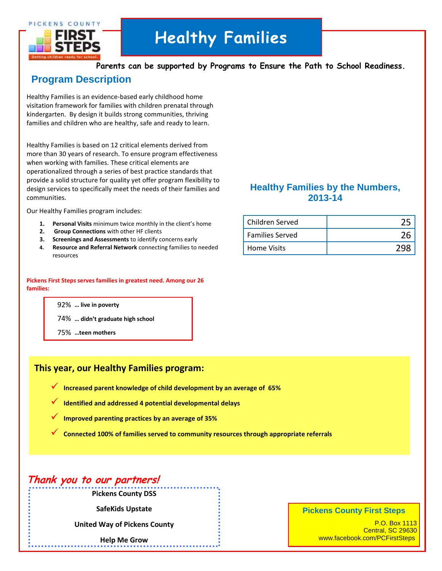PICKENS COUNTY



# **Healthy Families**

**Parents can be supported by Programs to Ensure the Path to School Readiness.**

## **Program Description**

Healthy Families is an evidence-based early childhood home visitation framework for families with children prenatal through kindergarten. By design it builds strong communities, thriving families and children who are healthy, safe and ready to learn.

Healthy Families is based on 12 critical elements derived from more than 30 years of research. To ensure program effectiveness when working with families. These critical elements are operationalized through a series of best practice standards that provide a solid structure for quality yet offer program flexibility to design services to specifically meet the needs of their families and communities.

Our Healthy Families program includes:

- **1. Personal Visits** minimum twice monthly in the client's home
- **2. Group Connections** with other HF clients
- **3. Screenings and Assessments** to identify concerns early
- **4. Resource and Referral Network** connecting families to needed resources

#### **Pickens First Steps serves families in greatest need. Among our 26 families:**

92% **… live in poverty**

74% **… didn't graduate high school**

75% **…teen mothers**

#### **This year, our Healthy Families program:**

- **Increased parent knowledge of child development by an average of 65%**
- **Identified and addressed 4 potential developmental delays**
- **Improved parenting practices by an average of 35%**
- **Connected 100% of families served to community resources through appropriate referrals**

## Thank you to our partners!

**Pickens County DSS**

**SafeKids Upstate**

**United Way of Pickens County**

**Help Me Grow**

### **Healthy Families by the Numbers, 2013-14**

| Children Served        |  |
|------------------------|--|
| <b>Families Served</b> |  |
| <b>Home Visits</b>     |  |

#### **Pickens County First Steps**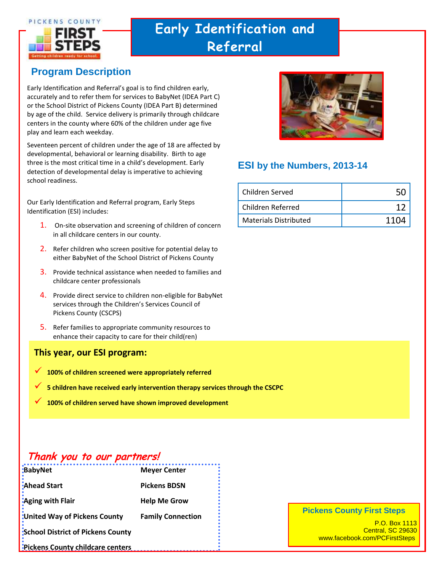

# **Early Identification and Referral**

## **Program Description**

Early Identification and Referral's goal is to find children early, accurately and to refer them for services to BabyNet (IDEA Part C) or the School District of Pickens County (IDEA Part B) determined by age of the child. Service delivery is primarily through childcare centers in the county where 60% of the children under age five play and learn each weekday.

Seventeen percent of children under the age of 18 are affected by developmental, behavioral or learning disability. Birth to age three is the most critical time in a child's development. Early detection of developmental delay is imperative to achieving school readiness.

Our Early Identification and Referral program, Early Steps Identification (ESI) includes:

- 1. On-site observation and screening of children of concern in all childcare centers in our county.
- 2. Refer children who screen positive for potential delay to either BabyNet of the School District of Pickens County
- 3. Provide technical assistance when needed to families and childcare center professionals
- 4. Provide direct service to children non-eligible for BabyNet services through the Children's Services Council of Pickens County (CSCPS)
- 5. Refer families to appropriate community resources to enhance their capacity to care for their child(ren)

#### **This year, our ESI program:**

- **100% of children screened were appropriately referred**
- **5 children have received early intervention therapy services through the CSCPC**
- **100% of children served have shown improved development**

## **Thank you to our partners!**

| <b>BabyNet</b>                           | <b>Meyer Center</b>      |
|------------------------------------------|--------------------------|
| <b>Ahead Start</b>                       | <b>Pickens BDSN</b>      |
| :Aging with Flair                        | <b>Help Me Grow</b>      |
| United Way of Pickens County             | <b>Family Connection</b> |
| <b>School District of Pickens County</b> |                          |
| Pickens County childcare centers         |                          |



### **ESI by the Numbers, 2013-14**

| Children Served       |        |
|-----------------------|--------|
| Children Referred     |        |
| Materials Distributed | 11 N A |

#### **Pickens County First Steps**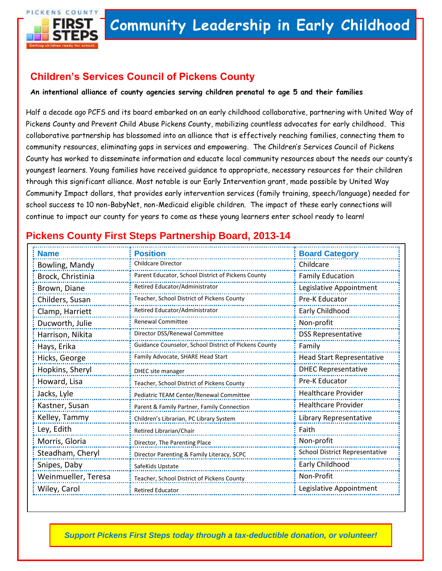

## **Children's Services Council of Pickens County**

**An intentional alliance of county agencies serving children prenatal to age 5 and their families**

Half a decade ago PCFS and its board embarked on an early childhood collaborative, partnering with United Way of Pickens County and Prevent Child Abuse Pickens County, mobilizing countless advocates for early childhood. This collaborative partnership has blossomed into an alliance that is effectively reaching families, connecting them to community resources, eliminating gaps in services and empowering. The Children's Services Council of Pickens County has worked to disseminate information and educate local community resources about the needs our county's youngest learners. Young families have received guidance to appropriate, necessary resources for their children through this significant alliance. Most notable is our Early Intervention grant, made possible by United Way Community Impact dollars, that provides early intervention services (family training, speech/language) needed for school success to 10 non-BabyNet, non-Medicaid eligible children. The impact of these early connections will continue to impact our county for years to come as these young learners enter school ready to learn!

## **Pickens County First Steps Partnership Board, 2013-14**

| <b>Name</b>         | <b>Position</b>                                       | <b>Board Category</b>            |
|---------------------|-------------------------------------------------------|----------------------------------|
| Bowling, Mandy      | <b>Childcare Director</b>                             | Childcare                        |
| Brock, Christinia   | Parent Educator, School District of Pickens County    | <b>Family Education</b>          |
| Brown, Diane        | Retired Educator/Administrator                        | Legislative Appointment          |
| Childers, Susan     | Teacher, School District of Pickens County            | Pre-K Educator                   |
| Clamp, Harriett     | Retired Educator/Administrator                        | Early Childhood                  |
| Ducworth, Julie     | <b>Renewal Committee</b>                              | Non-profit                       |
| Harrison, Nikita    | Director DSS/Renewal Committee                        | <b>DSS Representative</b>        |
| Hays, Erika         | Guidance Counselor, School District of Pickens County | Family                           |
| Hicks, George       | Family Advocate, SHARE Head Start                     | <b>Head Start Representative</b> |
| Hopkins, Sheryl     | DHEC site manager                                     | <b>DHEC Representative</b>       |
| Howard, Lisa        | Teacher, School District of Pickens County            | Pre-K Educator                   |
| Jacks, Lyle         | Pediatric TEAM Center/Renewal Committee               | <b>Healthcare Provider</b>       |
| Kastner, Susan      | Parent & Family Partner, Family Connection            | <b>Healthcare Provider</b>       |
| Kelley, Tammy       | Children's Librarian, PC Library System               | Library Representative           |
| Ley, Edith          | Retired Librarian/Chair                               | Faith                            |
| Morris, Gloria      | Director, The Parenting Place                         | Non-profit                       |
| Steadham, Cheryl    | Director Parenting & Family Literacy, SCPC            | School District Representative   |
| Snipes, Daby        | SafeKids Upstate                                      | Early Childhood                  |
| Weinmueller, Teresa | Teacher, School District of Pickens County            | Non-Profit                       |
| Wiley, Carol        | <b>Retired Educator</b>                               | Legislative Appointment          |

*Support Pickens First Steps today through a tax-deductible donation, or volunteer!*